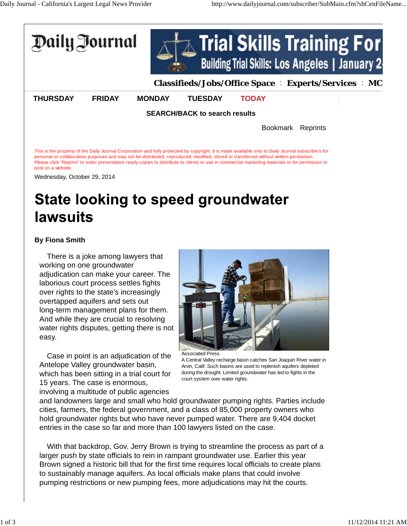

Wednesday, October 29, 2014

## **State looking to speed groundwater** lawsuits

## **By Fiona Smith**

There is a joke among lawyers that working on one groundwater adjudication can make your career. The laborious court process settles fights over rights to the state's increasingly overtapped aquifers and sets out long-term management plans for them. And while they are crucial to resolving water rights disputes, getting there is not easy.

Case in point is an adjudication of the Antelope Valley groundwater basin, which has been sitting in a trial court for 15 years. The case is enormous, involving a multitude of public agencies



Associated Press A Central Valley recharge basin catches San Joaquin River water in Arvin, Calif. Such basins are used to replenish aquifers depleted during the drought. Limited groundwater has led to fights in the court system over water rights.

and landowners large and small who hold groundwater pumping rights. Parties include cities, farmers, the federal government, and a class of 85,000 property owners who hold groundwater rights but who have never pumped water. There are 9,404 docket entries in the case so far and more than 100 lawyers listed on the case.

With that backdrop, Gov. Jerry Brown is trying to streamline the process as part of a larger push by state officials to rein in rampant groundwater use. Earlier this year Brown signed a historic bill that for the first time requires local officials to create plans to sustainably manage aquifers. As local officials make plans that could involve pumping restrictions or new pumping fees, more adjudications may hit the courts.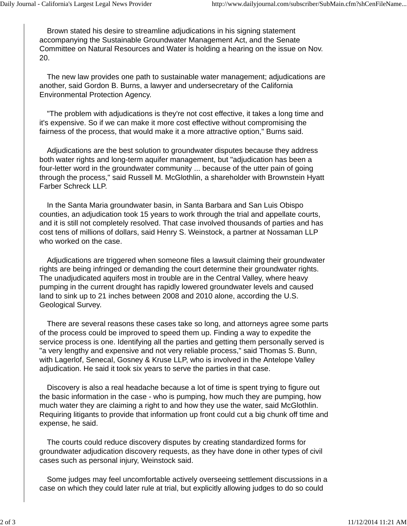Brown stated his desire to streamline adjudications in his signing statement accompanying the Sustainable Groundwater Management Act, and the Senate Committee on Natural Resources and Water is holding a hearing on the issue on Nov. 20.

The new law provides one path to sustainable water management; adjudications are another, said Gordon B. Burns, a lawyer and undersecretary of the California Environmental Protection Agency.

"The problem with adjudications is they're not cost effective, it takes a long time and it's expensive. So if we can make it more cost effective without compromising the fairness of the process, that would make it a more attractive option," Burns said.

Adjudications are the best solution to groundwater disputes because they address both water rights and long-term aquifer management, but "adjudication has been a four-letter word in the groundwater community ... because of the utter pain of going through the process," said Russell M. McGlothlin, a shareholder with Brownstein Hyatt Farber Schreck LLP.

In the Santa Maria groundwater basin, in Santa Barbara and San Luis Obispo counties, an adjudication took 15 years to work through the trial and appellate courts, and it is still not completely resolved. That case involved thousands of parties and has cost tens of millions of dollars, said Henry S. Weinstock, a partner at Nossaman LLP who worked on the case.

Adjudications are triggered when someone files a lawsuit claiming their groundwater rights are being infringed or demanding the court determine their groundwater rights. The unadjudicated aquifers most in trouble are in the Central Valley, where heavy pumping in the current drought has rapidly lowered groundwater levels and caused land to sink up to 21 inches between 2008 and 2010 alone, according the U.S. Geological Survey.

There are several reasons these cases take so long, and attorneys agree some parts of the process could be improved to speed them up. Finding a way to expedite the service process is one. Identifying all the parties and getting them personally served is "a very lengthy and expensive and not very reliable process," said Thomas S. Bunn, with Lagerlof, Senecal, Gosney & Kruse LLP, who is involved in the Antelope Valley adjudication. He said it took six years to serve the parties in that case.

Discovery is also a real headache because a lot of time is spent trying to figure out the basic information in the case - who is pumping, how much they are pumping, how much water they are claiming a right to and how they use the water, said McGlothlin. Requiring litigants to provide that information up front could cut a big chunk off time and expense, he said.

The courts could reduce discovery disputes by creating standardized forms for groundwater adjudication discovery requests, as they have done in other types of civil cases such as personal injury, Weinstock said.

Some judges may feel uncomfortable actively overseeing settlement discussions in a case on which they could later rule at trial, but explicitly allowing judges to do so could